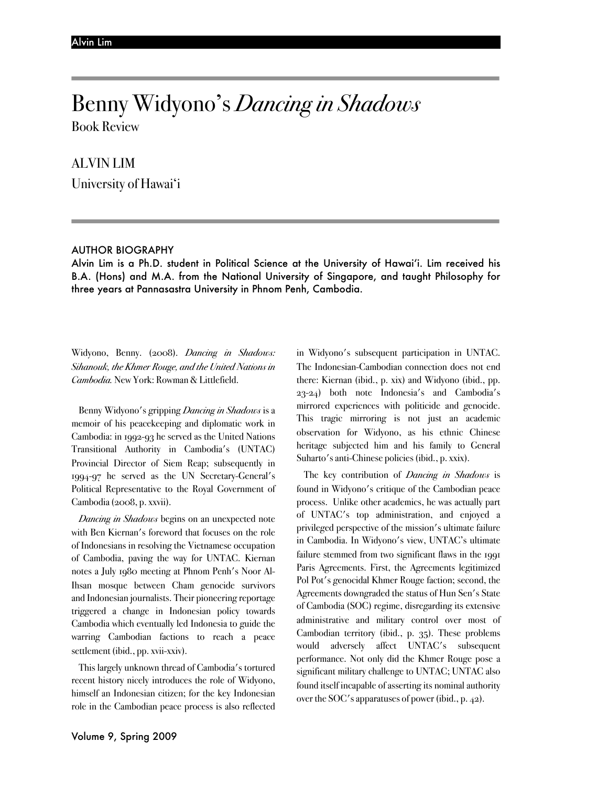# Benny Widyono's *Dancing in Shadows*

Book Review

### ALVIN LIM

University of Hawai'i

#### AUTHOR BIOGRAPHY

Alvin Lim is a Ph.D. student in Political Science at the University of Hawai'i. Lim received his B.A. (Hons) and M.A. from the National University of Singapore, and taught Philosophy for three years at Pannasastra University in Phnom Penh, Cambodia.

Widyono, Benny. (2008). *Dancing in Shadows: Sihanouk, the Khmer Rouge, and the United Nations in Cambodia.* New York: Rowman & Littlefield.

Benny Widyono's gripping *Dancing in Shadows* is a memoir of his peacekeeping and diplomatic work in Cambodia: in 1992-93 he served as the United Nations Transitional Authority in Cambodia's (UNTAC) Provincial Director of Siem Reap; subsequently in 1994-97 he served as the UN Secretary-General's Political Representative to the Royal Government of Cambodia (2008, p. xxvii).

*Dancing in Shadows* begins on an unexpected note with Ben Kiernan's foreword that focuses on the role of Indonesians in resolving the Vietnamese occupation of Cambodia, paving the way for UNTAC. Kiernan notes a July 1980 meeting at Phnom Penh's Noor Al-Ihsan mosque between Cham genocide survivors and Indonesian journalists. Their pioneering reportage triggered a change in Indonesian policy towards Cambodia which eventually led Indonesia to guide the warring Cambodian factions to reach a peace settlement (ibid., pp. xvii-xxiv).

This largely unknown thread of Cambodia's tortured recent history nicely introduces the role of Widyono, himself an Indonesian citizen; for the key Indonesian role in the Cambodian peace process is also reflected

in Widyono's subsequent participation in UNTAC. The Indonesian-Cambodian connection does not end there: Kiernan (ibid., p. xix) and Widyono (ibid., pp. 23-24) both note Indonesia's and Cambodia's mirrored experiences with politicide and genocide. This tragic mirroring is not just an academic observation for Widyono, as his ethnic Chinese heritage subjected him and his family to General Suharto's anti-Chinese policies (ibid., p. xxix).

The key contribution of *Dancing in Shadows* is found in Widyono's critique of the Cambodian peace process. Unlike other academics, he was actually part of UNTAC's top administration, and enjoyed a privileged perspective of the mission's ultimate failure in Cambodia. In Widyono's view, UNTAC's ultimate failure stemmed from two significant flaws in the 1991 Paris Agreements. First, the Agreements legitimized Pol Pot's genocidal Khmer Rouge faction; second, the Agreements downgraded the status of Hun Sen's State of Cambodia (SOC) regime, disregarding its extensive administrative and military control over most of Cambodian territory (ibid., p. 35). These problems would adversely affect UNTAC's subsequent performance. Not only did the Khmer Rouge pose a significant military challenge to UNTAC; UNTAC also found itself incapable of asserting its nominal authority over the SOC's apparatuses of power (ibid., p. 42).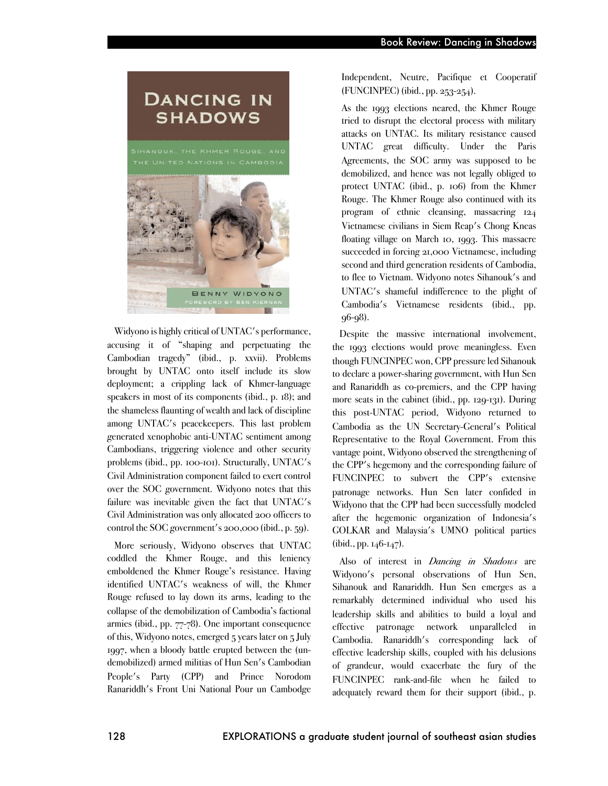#### Book Review: Dancing in Shadows

## **DANCING IN SHADOWS**



Widyono is highly critical of UNTAC's performance, accusing it of "shaping and perpetuating the Cambodian tragedy" (ibid., p. xxvii). Problems brought by UNTAC onto itself include its slow deployment; a crippling lack of Khmer-language speakers in most of its components (ibid., p. 18); and the shameless flaunting of wealth and lack of discipline among UNTAC's peacekeepers. This last problem generated xenophobic anti-UNTAC sentiment among Cambodians, triggering violence and other security problems (ibid., pp. 100-101). Structurally, UNTAC's Civil Administration component failed to exert control over the SOC government. Widyono notes that this failure was inevitable given the fact that UNTAC's Civil Administration was only allocated 200 officers to control the SOC government's 200,000 (ibid., p. 59).

More seriously, Widyono observes that UNTAC coddled the Khmer Rouge, and this leniency emboldened the Khmer Rouge's resistance. Having identified UNTAC's weakness of will, the Khmer Rouge refused to lay down its arms, leading to the collapse of the demobilization of Cambodia's factional armies (ibid., pp. 77-78). One important consequence of this, Widyono notes, emerged 5 years later on 5 July 1997, when a bloody battle erupted between the (undemobilized) armed militias of Hun Sen's Cambodian People's Party (CPP) and Prince Norodom Ranariddh's Front Uni National Pour un Cambodge

Independent, Neutre, Pacifique et Cooperatif (FUNCINPEC) (ibid., pp. 253-254).

As the 1993 elections neared, the Khmer Rouge tried to disrupt the electoral process with military attacks on UNTAC. Its military resistance caused UNTAC great difficulty. Under the Paris Agreements, the SOC army was supposed to be demobilized, and hence was not legally obliged to protect UNTAC (ibid., p. 106) from the Khmer Rouge. The Khmer Rouge also continued with its program of ethnic cleansing, massacring 124 Vietnamese civilians in Siem Reap's Chong Kneas floating village on March 10, 1993. This massacre succeeded in forcing 21,000 Vietnamese, including second and third generation residents of Cambodia, to flee to Vietnam. Widyono notes Sihanouk's and UNTAC's shameful indifference to the plight of Cambodia's Vietnamese residents (ibid., pp. 96-98).

Despite the massive international involvement, the 1993 elections would prove meaningless. Even though FUNCINPEC won, CPP pressure led Sihanouk to declare a power-sharing government, with Hun Sen and Ranariddh as co-premiers, and the CPP having more seats in the cabinet (ibid., pp. 129-131). During this post-UNTAC period, Widyono returned to Cambodia as the UN Secretary-General's Political Representative to the Royal Government. From this vantage point, Widyono observed the strengthening of the CPP's hegemony and the corresponding failure of FUNCINPEC to subvert the CPP's extensive patronage networks. Hun Sen later confided in Widyono that the CPP had been successfully modeled after the hegemonic organization of Indonesia's GOLKAR and Malaysia's UMNO political parties  $(ibid., pp. 146-147).$ 

Also of interest in *Dancing in Shadows* are Widyono's personal observations of Hun Sen, Sihanouk and Ranariddh. Hun Sen emerges as a remarkably determined individual who used his leadership skills and abilities to build a loyal and effective patronage network unparalleled in Cambodia. Ranariddh's corresponding lack of effective leadership skills, coupled with his delusions of grandeur, would exacerbate the fury of the FUNCINPEC rank-and-file when he failed to adequately reward them for their support (ibid., p.